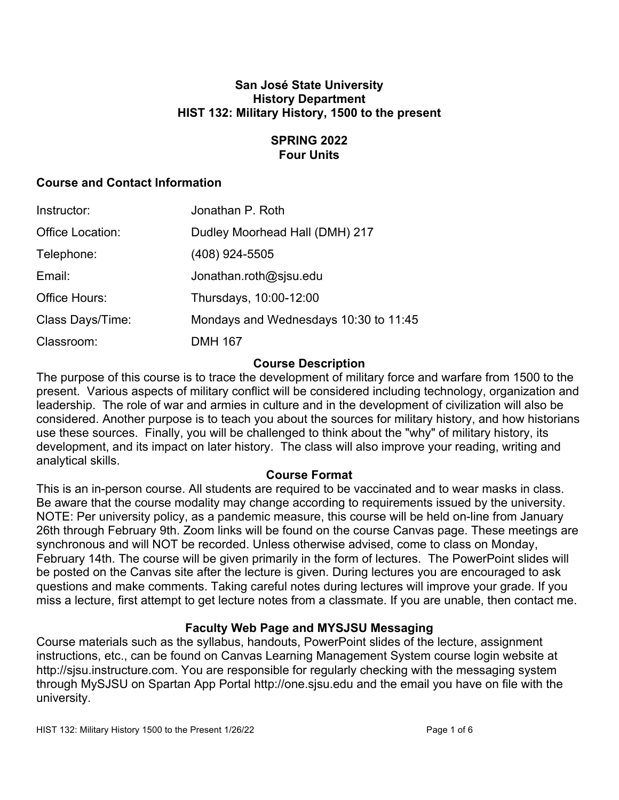### **San José State University History Department HIST 132: Military History, 1500 to the present**

# **SPRING 2022 Four Units**

# **Course and Contact Information**

| Instructor:      | Jonathan P. Roth                      |
|------------------|---------------------------------------|
| Office Location: | Dudley Moorhead Hall (DMH) 217        |
| Telephone:       | (408) 924-5505                        |
| Email:           | Jonathan.roth@sjsu.edu                |
| Office Hours:    | Thursdays, 10:00-12:00                |
| Class Days/Time: | Mondays and Wednesdays 10:30 to 11:45 |
| Classroom:       | <b>DMH 167</b>                        |

### **Course Description**

The purpose of this course is to trace the development of military force and warfare from 1500 to the present. Various aspects of military conflict will be considered including technology, organization and leadership. The role of war and armies in culture and in the development of civilization will also be considered. Another purpose is to teach you about the sources for military history, and how historians use these sources. Finally, you will be challenged to think about the "why" of military history, its development, and its impact on later history. The class will also improve your reading, writing and analytical skills.

## **Course Format**

This is an in-person course. All students are required to be vaccinated and to wear masks in class. Be aware that the course modality may change according to requirements issued by the university. NOTE: Per university policy, as a pandemic measure, this course will be held on-line from January 26th through February 9th. Zoom links will be found on the course Canvas page. These meetings are synchronous and will NOT be recorded. Unless otherwise advised, come to class on Monday, February 14th. The course will be given primarily in the form of lectures. The PowerPoint slides will be posted on the Canvas site after the lecture is given. During lectures you are encouraged to ask questions and make comments. Taking careful notes during lectures will improve your grade. If you miss a lecture, first attempt to get lecture notes from a classmate. If you are unable, then contact me.

## **Faculty Web Page and MYSJSU Messaging**

Course materials such as the syllabus, handouts, PowerPoint slides of the lecture, assignment instructions, etc., can be found on Canvas Learning Management System course login website at http://sjsu.instructure.com. You are responsible for regularly checking with the messaging system through MySJSU on Spartan App Portal http://one.sjsu.edu and the email you have on file with the university.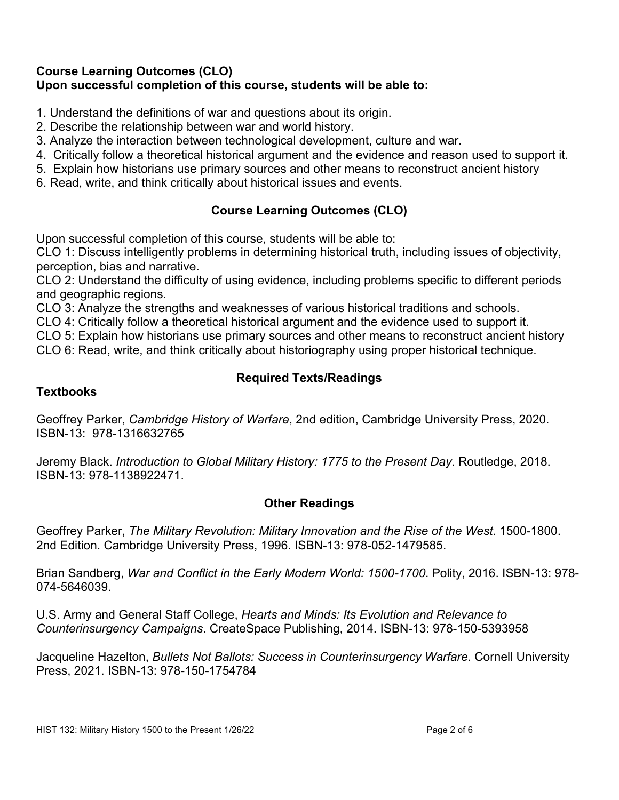### **Course Learning Outcomes (CLO) Upon successful completion of this course, students will be able to:**

- 1. Understand the definitions of war and questions about its origin.
- 2. Describe the relationship between war and world history.
- 3. Analyze the interaction between technological development, culture and war.
- 4. Critically follow a theoretical historical argument and the evidence and reason used to support it.
- 5. Explain how historians use primary sources and other means to reconstruct ancient history
- 6. Read, write, and think critically about historical issues and events.

# **Course Learning Outcomes (CLO)**

Upon successful completion of this course, students will be able to:

CLO 1: Discuss intelligently problems in determining historical truth, including issues of objectivity, perception, bias and narrative.

CLO 2: Understand the difficulty of using evidence, including problems specific to different periods and geographic regions.

CLO 3: Analyze the strengths and weaknesses of various historical traditions and schools.

CLO 4: Critically follow a theoretical historical argument and the evidence used to support it.

CLO 5: Explain how historians use primary sources and other means to reconstruct ancient history

CLO 6: Read, write, and think critically about historiography using proper historical technique.

# **Required Texts/Readings**

#### **Textbooks**

Geoffrey Parker, *Cambridge History of Warfare*, 2nd edition, Cambridge University Press, 2020. ISBN-13: 978-1316632765

Jeremy Black. *Introduction to Global Military History: 1775 to the Present Day*. Routledge, 2018. ISBN-13: 978-1138922471.

#### **Other Readings**

Geoffrey Parker, *The Military Revolution: Military Innovation and the Rise of the West*. 1500-1800. 2nd Edition. Cambridge University Press, 1996. ISBN-13: 978-052-1479585.

Brian Sandberg, *War and Conflict in the Early Modern World: 1500-1700*. Polity, 2016. ISBN-13: 978- 074-5646039.

U.S. Army and General Staff College, *Hearts and Minds: Its Evolution and Relevance to Counterinsurgency Campaigns*. CreateSpace Publishing, 2014. ISBN-13: 978-150-5393958

Jacqueline Hazelton, *Bullets Not Ballots: Success in Counterinsurgency Warfare*. Cornell University Press, 2021. ISBN-13: 978-150-1754784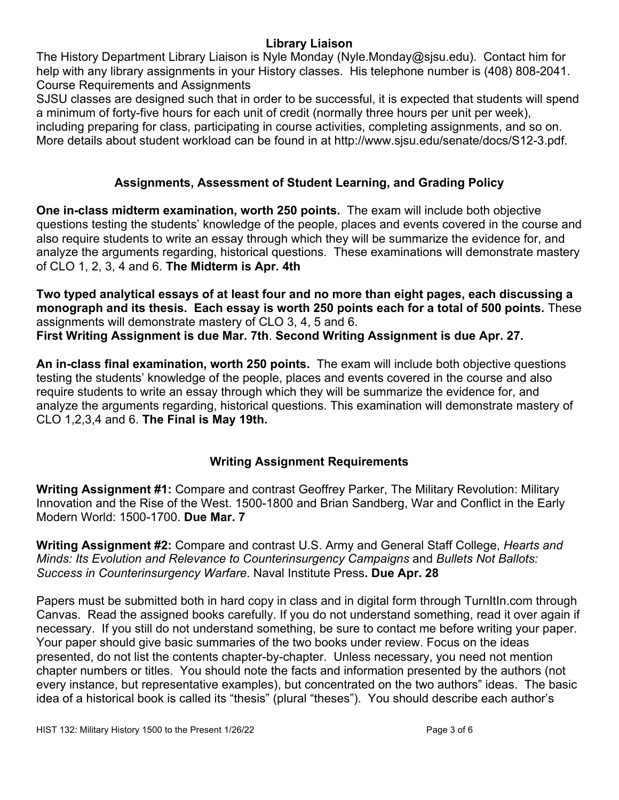## **Library Liaison**

The History Department Library Liaison is Nyle Monday (Nyle.Monday@sjsu.edu). Contact him for help with any library assignments in your History classes. His telephone number is (408) 808-2041. Course Requirements and Assignments

SJSU classes are designed such that in order to be successful, it is expected that students will spend a minimum of forty-five hours for each unit of credit (normally three hours per unit per week), including preparing for class, participating in course activities, completing assignments, and so on. More details about student workload can be found in at http://www.sjsu.edu/senate/docs/S12-3.pdf.

# **Assignments, Assessment of Student Learning, and Grading Policy**

**One in-class midterm examination, worth 250 points.** The exam will include both objective questions testing the students' knowledge of the people, places and events covered in the course and also require students to write an essay through which they will be summarize the evidence for, and analyze the arguments regarding, historical questions. These examinations will demonstrate mastery of CLO 1, 2, 3, 4 and 6. **The Midterm is Apr. 4th**

**Two typed analytical essays of at least four and no more than eight pages, each discussing a monograph and its thesis. Each essay is worth 250 points each for a total of 500 points.** These assignments will demonstrate mastery of CLO 3, 4, 5 and 6. **First Writing Assignment is due Mar. 7th**. **Second Writing Assignment is due Apr. 27.**

**An in-class final examination, worth 250 points.** The exam will include both objective questions testing the students' knowledge of the people, places and events covered in the course and also require students to write an essay through which they will be summarize the evidence for, and analyze the arguments regarding, historical questions. This examination will demonstrate mastery of CLO 1,2,3,4 and 6. **The Final is May 19th.**

## **Writing Assignment Requirements**

**Writing Assignment #1:** Compare and contrast Geoffrey Parker, The Military Revolution: Military Innovation and the Rise of the West. 1500-1800 and Brian Sandberg, War and Conflict in the Early Modern World: 1500-1700. **Due Mar. 7**

**Writing Assignment #2:** Compare and contrast U.S. Army and General Staff College, *Hearts and Minds: Its Evolution and Relevance to Counterinsurgency Campaigns* and *Bullets Not Ballots: Success in Counterinsurgency Warfare*. Naval Institute Press**. Due Apr. 28**

Papers must be submitted both in hard copy in class and in digital form through TurnItIn.com through Canvas. Read the assigned books carefully. If you do not understand something, read it over again if necessary. If you still do not understand something, be sure to contact me before writing your paper. Your paper should give basic summaries of the two books under review. Focus on the ideas presented, do not list the contents chapter-by-chapter. Unless necessary, you need not mention chapter numbers or titles. You should note the facts and information presented by the authors (not every instance, but representative examples), but concentrated on the two authors" ideas. The basic idea of a historical book is called its "thesis" (plural "theses"). You should describe each author's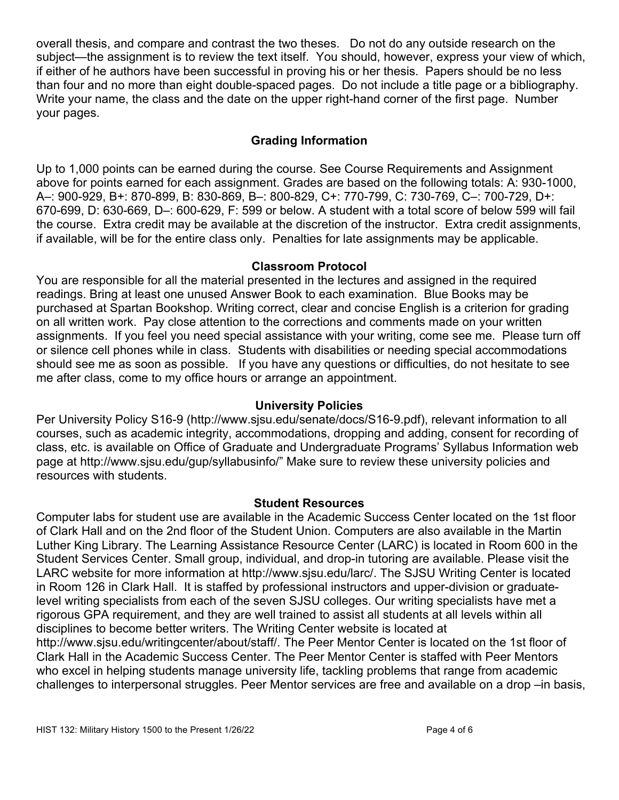overall thesis, and compare and contrast the two theses. Do not do any outside research on the subject—the assignment is to review the text itself. You should, however, express your view of which, if either of he authors have been successful in proving his or her thesis. Papers should be no less than four and no more than eight double-spaced pages. Do not include a title page or a bibliography. Write your name, the class and the date on the upper right-hand corner of the first page. Number your pages.

# **Grading Information**

Up to 1,000 points can be earned during the course. See Course Requirements and Assignment above for points earned for each assignment. Grades are based on the following totals: A: 930-1000, A–: 900-929, B+: 870-899, B: 830-869, B–: 800-829, C+: 770-799, C: 730-769, C–: 700-729, D+: 670-699, D: 630-669, D–: 600-629, F: 599 or below. A student with a total score of below 599 will fail the course. Extra credit may be available at the discretion of the instructor. Extra credit assignments, if available, will be for the entire class only. Penalties for late assignments may be applicable.

### **Classroom Protocol**

You are responsible for all the material presented in the lectures and assigned in the required readings. Bring at least one unused Answer Book to each examination. Blue Books may be purchased at Spartan Bookshop. Writing correct, clear and concise English is a criterion for grading on all written work. Pay close attention to the corrections and comments made on your written assignments. If you feel you need special assistance with your writing, come see me. Please turn off or silence cell phones while in class. Students with disabilities or needing special accommodations should see me as soon as possible. If you have any questions or difficulties, do not hesitate to see me after class, come to my office hours or arrange an appointment.

#### **University Policies**

Per University Policy S16-9 (http://www.sjsu.edu/senate/docs/S16-9.pdf), relevant information to all courses, such as academic integrity, accommodations, dropping and adding, consent for recording of class, etc. is available on Office of Graduate and Undergraduate Programs' Syllabus Information web page at http://www.sjsu.edu/gup/syllabusinfo/" Make sure to review these university policies and resources with students.

#### **Student Resources**

Computer labs for student use are available in the Academic Success Center located on the 1st floor of Clark Hall and on the 2nd floor of the Student Union. Computers are also available in the Martin Luther King Library. The Learning Assistance Resource Center (LARC) is located in Room 600 in the Student Services Center. Small group, individual, and drop-in tutoring are available. Please visit the LARC website for more information at http://www.sjsu.edu/larc/. The SJSU Writing Center is located in Room 126 in Clark Hall. It is staffed by professional instructors and upper-division or graduatelevel writing specialists from each of the seven SJSU colleges. Our writing specialists have met a rigorous GPA requirement, and they are well trained to assist all students at all levels within all disciplines to become better writers. The Writing Center website is located at http://www.sjsu.edu/writingcenter/about/staff/. The Peer Mentor Center is located on the 1st floor of Clark Hall in the Academic Success Center. The Peer Mentor Center is staffed with Peer Mentors who excel in helping students manage university life, tackling problems that range from academic challenges to interpersonal struggles. Peer Mentor services are free and available on a drop –in basis,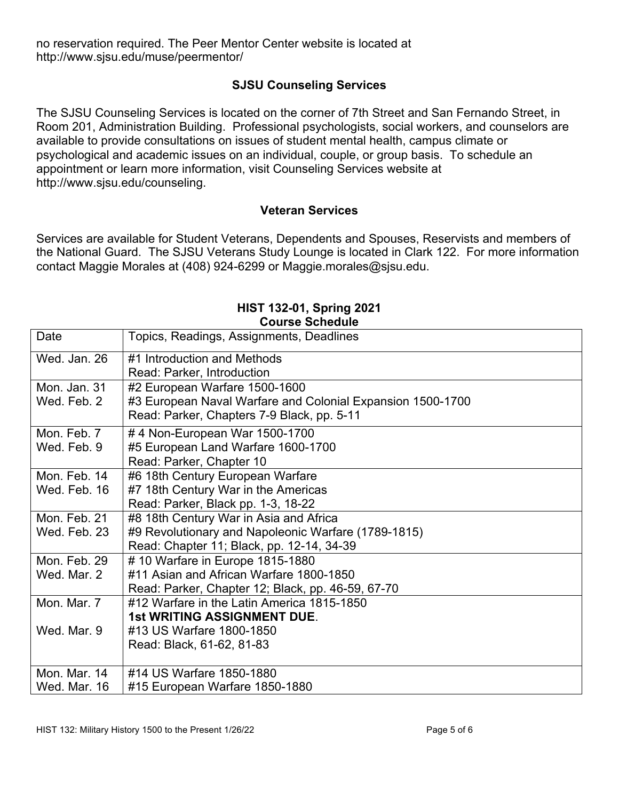no reservation required. The Peer Mentor Center website is located at http://www.sjsu.edu/muse/peermentor/

## **SJSU Counseling Services**

The SJSU Counseling Services is located on the corner of 7th Street and San Fernando Street, in Room 201, Administration Building. Professional psychologists, social workers, and counselors are available to provide consultations on issues of student mental health, campus climate or psychological and academic issues on an individual, couple, or group basis. To schedule an appointment or learn more information, visit Counseling Services website at http://www.sjsu.edu/counseling.

#### **Veteran Services**

Services are available for Student Veterans, Dependents and Spouses, Reservists and members of the National Guard. The SJSU Veterans Study Lounge is located in Clark 122. For more information contact Maggie Morales at (408) 924-6299 or Maggie.morales@sjsu.edu.

| <b>UUUISE JUILEUUIE</b> |                                                            |
|-------------------------|------------------------------------------------------------|
| Date                    | Topics, Readings, Assignments, Deadlines                   |
| Wed. Jan. 26            | #1 Introduction and Methods                                |
|                         | Read: Parker, Introduction                                 |
| Mon. Jan. 31            | #2 European Warfare 1500-1600                              |
| Wed. Feb. 2             | #3 European Naval Warfare and Colonial Expansion 1500-1700 |
|                         | Read: Parker, Chapters 7-9 Black, pp. 5-11                 |
| Mon. Feb. 7             | #4 Non-European War 1500-1700                              |
| Wed. Feb. 9             | #5 European Land Warfare 1600-1700                         |
|                         | Read: Parker, Chapter 10                                   |
| Mon. Feb. 14            | #6 18th Century European Warfare                           |
| Wed. Feb. 16            | #7 18th Century War in the Americas                        |
|                         | Read: Parker, Black pp. 1-3, 18-22                         |
| Mon. Feb. 21            | #8 18th Century War in Asia and Africa                     |
| Wed. Feb. 23            | #9 Revolutionary and Napoleonic Warfare (1789-1815)        |
|                         | Read: Chapter 11; Black, pp. 12-14, 34-39                  |
| Mon. Feb. 29            | #10 Warfare in Europe 1815-1880                            |
| Wed. Mar. 2             | #11 Asian and African Warfare 1800-1850                    |
|                         | Read: Parker, Chapter 12; Black, pp. 46-59, 67-70          |
| Mon. Mar. 7             | #12 Warfare in the Latin America 1815-1850                 |
|                         | <b>1st WRITING ASSIGNMENT DUE.</b>                         |
| Wed. Mar. 9             | #13 US Warfare 1800-1850                                   |
|                         | Read: Black, 61-62, 81-83                                  |
|                         |                                                            |
| Mon. Mar. 14            | #14 US Warfare 1850-1880                                   |
| Wed. Mar. 16            | #15 European Warfare 1850-1880                             |

### **HIST 132-01, Spring 2021 Course Schedule**